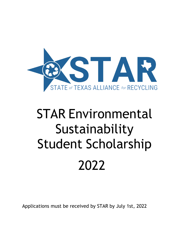

Applications must be received by STAR by July 1st, 2022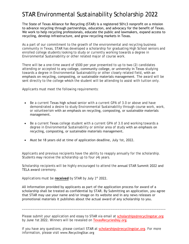The State of Texas Alliance for Recycling (STAR) is a registered 501c3 nonprofit on a mission to advance recycling through partnerships, education, and advocacy for the benefit of Texas. We work to help recycling professionals, educate the public and lawmakers, expand access to recycling, develop infrastructure, and grow recycling markets in Texas.

As a part of our commitment to the growth of the environmental and recycling business community in Texas, STAR has developed a scholarship for graduating High School seniors and enrolled college students looking to study or currently working towards a degree in Environmental Sustainability or other related major of course work.

There will be a one-time award of \$500 per year presented to up to two (2) candidates attending or accepted to any college, community college, or university in Texas studying towards a degree in Environmental Sustainability or other closely related field, with an emphasis on recycling, composting, or sustainable materials management. The award will be sent directly to the college which the student will be attending to assist with tuition only.

Applicants must meet the following requirements:

- Be a current Texas high school senior with a current GPA of 3.0 or above and have demonstrated a desire to study Environmental Sustainability through course work, work, or volunteerism with an emphasis on recycling, composting, or sustainable materials management.
- Be a current Texas college student with a current GPA of 3.0 and working towards a degree in Environmental Sustainability or similar area of study with an emphasis on recycling, composting, or sustainable materials management.
- Must be 18 years old at time of application deadline, July 1st, 2022.

Applicants and previous recipients have the ability to reapply annually for the scholarship. Students may receive the scholarship up to four (4) years.

Scholarship recipients will be highly encouraged to attend the annual STAR Summit 2022 and TELA award ceremony.

Applications must be **received** by STAR by July 1<sup>st</sup> 2022.

All information provided by applicants as part of the application process for award of a scholarship shall be treated as confidential by STAR. By Submitting an application, you agree that STAR may use your name and/or image on its website and in any news releases or promotional materials it publishes about the actual award of any scholarship to you.

Plea[se submit your application](http://www.RecyclingStar.org) and essay to STAR via email at scholarships@recyclingstar.org by June 1st 2022. Winners will be revealed on TexasRecyclesDay.org.

\_\_\_\_\_\_\_\_\_\_\_\_\_\_\_\_\_\_\_\_\_\_\_\_\_\_\_\_\_\_\_\_\_\_\_\_\_\_\_\_\_\_\_\_\_\_\_\_\_\_\_\_\_\_\_\_\_\_\_\_\_\_\_\_\_\_\_\_\_\_\_\_\_\_\_\_\_\_\_\_\_

If you have any questions, please contact STAR at scholarships@recyclingstar.org. For more information, please visit www.RecyclingStar.org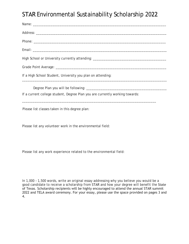Please list classes taken in this degree plan:

Please list any volunteer work in the environmental field:

Please list any work experience related to the environmental field:

In 1,000 – 1,500 words, write an original essay addressing why you believe you would be a good candidate to receive a scholarship from STAR and how your degree will benefit the State of Texas. Scholarship recipients will be highly encouraged to attend the annual STAR summit 2022 and TELA award ceremony. For your essay, please use the space provided on pages 3 and 4.